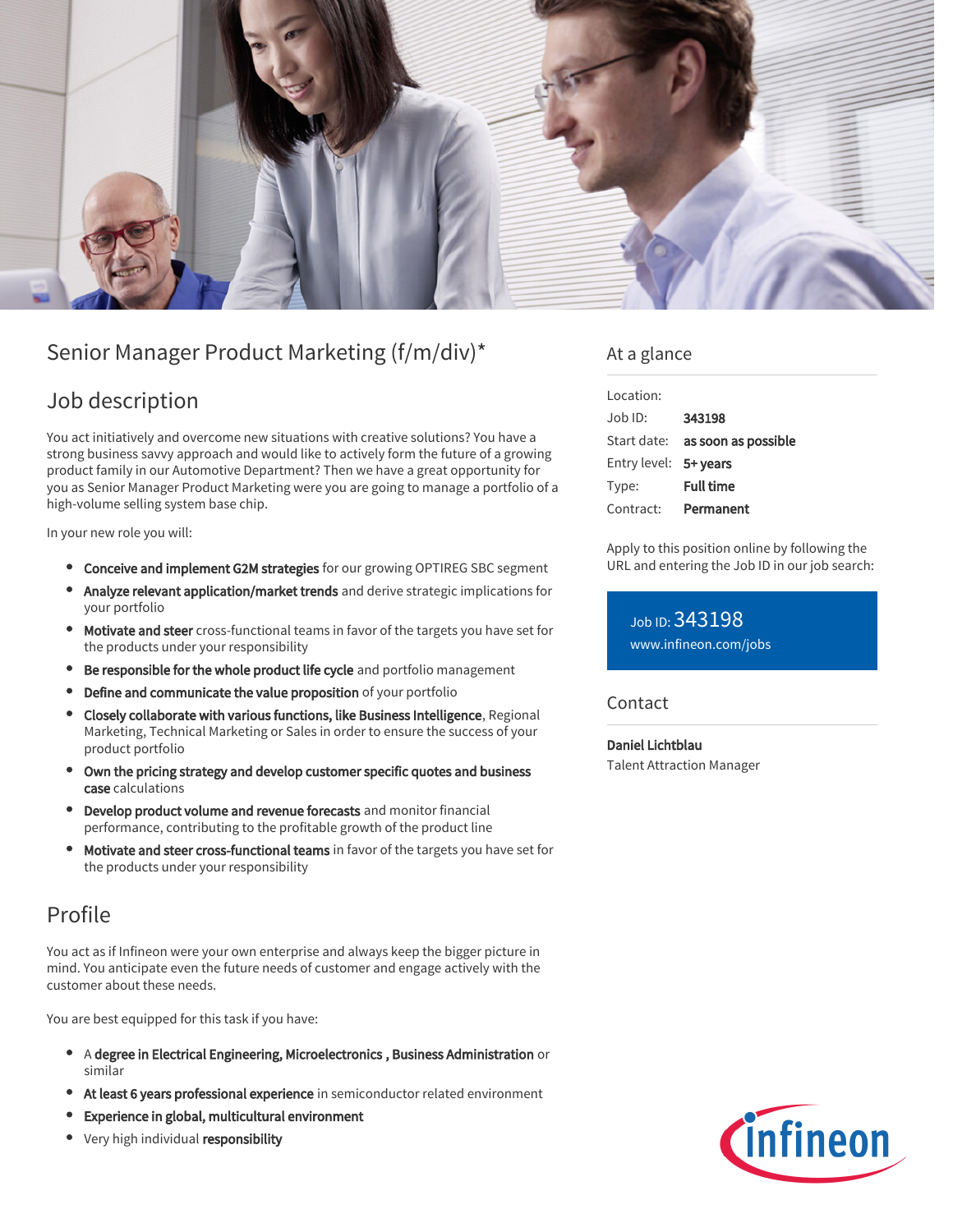

# Senior Manager Product Marketing (f/m/div)\*

## Job description

You act initiatively and overcome new situations with creative solutions? You have a strong business savvy approach and would like to actively form the future of a growing product family in our Automotive Department? Then we have a great opportunity for you as Senior Manager Product Marketing were you are going to manage a portfolio of a high-volume selling system base chip.

In your new role you will:

- **Conceive and implement G2M strategies** for our growing OPTIREG SBC segment
- Analyze relevant application/market trends and derive strategic implications for your portfolio
- Motivate and steer cross-functional teams in favor of the targets you have set for the products under your responsibility
- **Be responsible for the whole product life cycle** and portfolio management
- Define and communicate the value proposition of your portfolio
- Closely collaborate with various functions, like Business Intelligence, Regional Marketing, Technical Marketing or Sales in order to ensure the success of your product portfolio
- Own the pricing strategy and develop customer specific quotes and business case calculations
- Develop product volume and revenue forecasts and monitor financial performance, contributing to the profitable growth of the product line
- Motivate and steer cross-functional teams in favor of the targets you have set for the products under your responsibility

### Profile

You act as if Infineon were your own enterprise and always keep the bigger picture in mind. You anticipate even the future needs of customer and engage actively with the customer about these needs.

You are best equipped for this task if you have:

- A degree in Electrical Engineering, Microelectronics , Business Administration or similar
- At least 6 years professional experience in semiconductor related environment
- Experience in global, multicultural environment
- Very high individual responsibility

### At a glance

| Location:             |                                 |
|-----------------------|---------------------------------|
| $Joh$ ID:             | 343198                          |
|                       | Start date: as soon as possible |
| Entry level: 5+ years |                                 |
| Type:                 | <b>Full time</b>                |
| Contract:             | Permanent                       |

Apply to this position online by following the URL and entering the Job ID in our job search:

Job ID: 343198 [www.infineon.com/jobs](https://www.infineon.com/jobs)

### **Contact**

Daniel Lichtblau Talent Attraction Manager